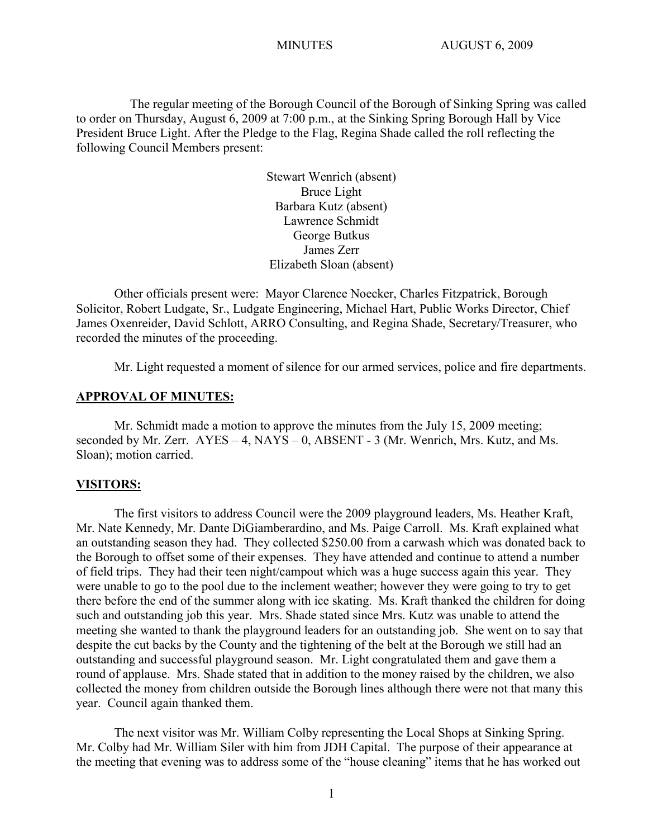The regular meeting of the Borough Council of the Borough of Sinking Spring was called to order on Thursday, August 6, 2009 at 7:00 p.m., at the Sinking Spring Borough Hall by Vice President Bruce Light. After the Pledge to the Flag, Regina Shade called the roll reflecting the following Council Members present:

> Stewart Wenrich (absent) Bruce Light Barbara Kutz (absent) Lawrence Schmidt George Butkus James Zerr Elizabeth Sloan (absent)

Other officials present were: Mayor Clarence Noecker, Charles Fitzpatrick, Borough Solicitor, Robert Ludgate, Sr., Ludgate Engineering, Michael Hart, Public Works Director, Chief James Oxenreider, David Schlott, ARRO Consulting, and Regina Shade, Secretary/Treasurer, who recorded the minutes of the proceeding.

Mr. Light requested a moment of silence for our armed services, police and fire departments.

### **APPROVAL OF MINUTES:**

Mr. Schmidt made a motion to approve the minutes from the July 15, 2009 meeting; seconded by Mr. Zerr. AYES – 4, NAYS – 0, ABSENT - 3 (Mr. Wenrich, Mrs. Kutz, and Ms. Sloan); motion carried.

#### **VISITORS:**

The first visitors to address Council were the 2009 playground leaders, Ms. Heather Kraft, Mr. Nate Kennedy, Mr. Dante DiGiamberardino, and Ms. Paige Carroll. Ms. Kraft explained what an outstanding season they had. They collected \$250.00 from a carwash which was donated back to the Borough to offset some of their expenses. They have attended and continue to attend a number of field trips. They had their teen night/campout which was a huge success again this year. They were unable to go to the pool due to the inclement weather; however they were going to try to get there before the end of the summer along with ice skating. Ms. Kraft thanked the children for doing such and outstanding job this year. Mrs. Shade stated since Mrs. Kutz was unable to attend the meeting she wanted to thank the playground leaders for an outstanding job. She went on to say that despite the cut backs by the County and the tightening of the belt at the Borough we still had an outstanding and successful playground season. Mr. Light congratulated them and gave them a round of applause. Mrs. Shade stated that in addition to the money raised by the children, we also collected the money from children outside the Borough lines although there were not that many this year. Council again thanked them.

The next visitor was Mr. William Colby representing the Local Shops at Sinking Spring. Mr. Colby had Mr. William Siler with him from JDH Capital. The purpose of their appearance at the meeting that evening was to address some of the "house cleaning" items that he has worked out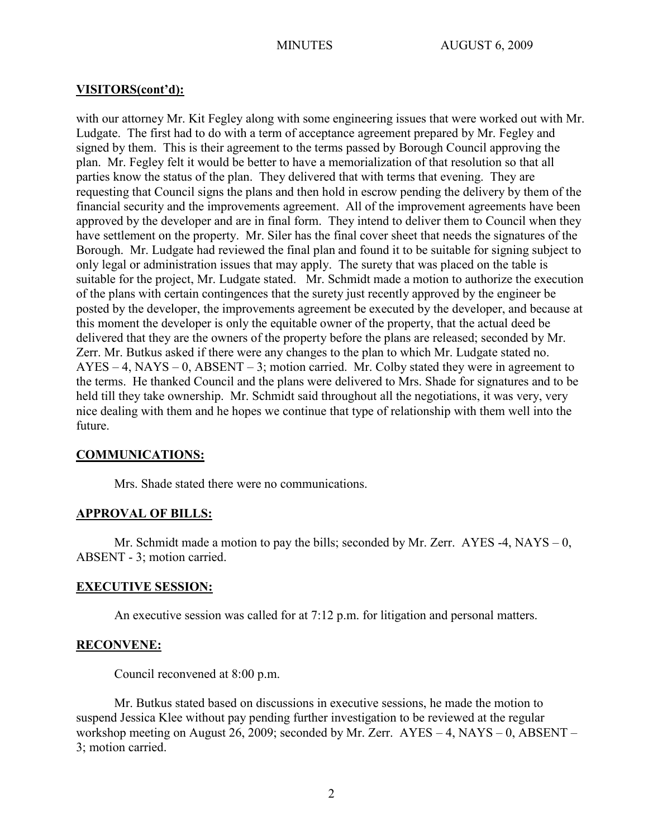# **VISITORS(cont'd):**

with our attorney Mr. Kit Fegley along with some engineering issues that were worked out with Mr. Ludgate. The first had to do with a term of acceptance agreement prepared by Mr. Fegley and signed by them. This is their agreement to the terms passed by Borough Council approving the plan. Mr. Fegley felt it would be better to have a memorialization of that resolution so that all parties know the status of the plan. They delivered that with terms that evening. They are requesting that Council signs the plans and then hold in escrow pending the delivery by them of the financial security and the improvements agreement. All of the improvement agreements have been approved by the developer and are in final form. They intend to deliver them to Council when they have settlement on the property. Mr. Siler has the final cover sheet that needs the signatures of the Borough. Mr. Ludgate had reviewed the final plan and found it to be suitable for signing subject to only legal or administration issues that may apply. The surety that was placed on the table is suitable for the project, Mr. Ludgate stated. Mr. Schmidt made a motion to authorize the execution of the plans with certain contingences that the surety just recently approved by the engineer be posted by the developer, the improvements agreement be executed by the developer, and because at this moment the developer is only the equitable owner of the property, that the actual deed be delivered that they are the owners of the property before the plans are released; seconded by Mr. Zerr. Mr. Butkus asked if there were any changes to the plan to which Mr. Ludgate stated no. AYES – 4, NAYS – 0, ABSENT – 3; motion carried. Mr. Colby stated they were in agreement to the terms. He thanked Council and the plans were delivered to Mrs. Shade for signatures and to be held till they take ownership. Mr. Schmidt said throughout all the negotiations, it was very, very nice dealing with them and he hopes we continue that type of relationship with them well into the future.

# **COMMUNICATIONS:**

Mrs. Shade stated there were no communications.

# **APPROVAL OF BILLS:**

Mr. Schmidt made a motion to pay the bills; seconded by Mr. Zerr.  $AYES -4$ ,  $NAYS -0$ , ABSENT - 3; motion carried.

# **EXECUTIVE SESSION:**

An executive session was called for at 7:12 p.m. for litigation and personal matters.

# **RECONVENE:**

Council reconvened at 8:00 p.m.

Mr. Butkus stated based on discussions in executive sessions, he made the motion to suspend Jessica Klee without pay pending further investigation to be reviewed at the regular workshop meeting on August 26, 2009; seconded by Mr. Zerr. AYES – 4, NAYS – 0, ABSENT – 3; motion carried.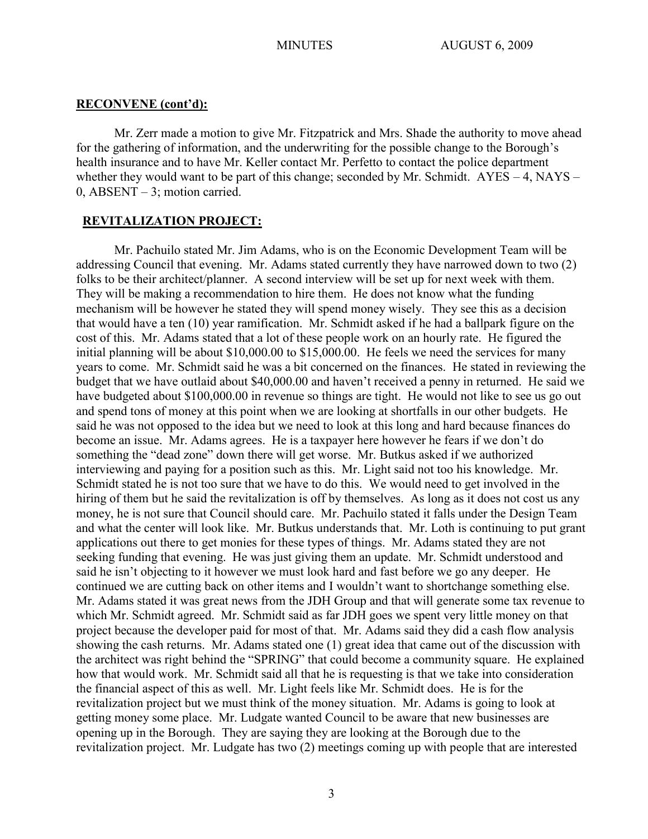### **RECONVENE (cont'd):**

Mr. Zerr made a motion to give Mr. Fitzpatrick and Mrs. Shade the authority to move ahead for the gathering of information, and the underwriting for the possible change to the Borough's health insurance and to have Mr. Keller contact Mr. Perfetto to contact the police department whether they would want to be part of this change; seconded by Mr. Schmidt. AYES – 4, NAYS – 0, ABSENT – 3; motion carried.

# **REVITALIZATION PROJECT:**

Mr. Pachuilo stated Mr. Jim Adams, who is on the Economic Development Team will be addressing Council that evening. Mr. Adams stated currently they have narrowed down to two (2) folks to be their architect/planner. A second interview will be set up for next week with them. They will be making a recommendation to hire them. He does not know what the funding mechanism will be however he stated they will spend money wisely. They see this as a decision that would have a ten (10) year ramification. Mr. Schmidt asked if he had a ballpark figure on the cost of this. Mr. Adams stated that a lot of these people work on an hourly rate. He figured the initial planning will be about \$10,000.00 to \$15,000.00. He feels we need the services for many years to come. Mr. Schmidt said he was a bit concerned on the finances. He stated in reviewing the budget that we have outlaid about \$40,000.00 and haven't received a penny in returned. He said we have budgeted about \$100,000.00 in revenue so things are tight. He would not like to see us go out and spend tons of money at this point when we are looking at shortfalls in our other budgets. He said he was not opposed to the idea but we need to look at this long and hard because finances do become an issue. Mr. Adams agrees. He is a taxpayer here however he fears if we don't do something the "dead zone" down there will get worse. Mr. Butkus asked if we authorized interviewing and paying for a position such as this. Mr. Light said not too his knowledge. Mr. Schmidt stated he is not too sure that we have to do this. We would need to get involved in the hiring of them but he said the revitalization is off by themselves. As long as it does not cost us any money, he is not sure that Council should care. Mr. Pachuilo stated it falls under the Design Team and what the center will look like. Mr. Butkus understands that. Mr. Loth is continuing to put grant applications out there to get monies for these types of things. Mr. Adams stated they are not seeking funding that evening. He was just giving them an update. Mr. Schmidt understood and said he isn't objecting to it however we must look hard and fast before we go any deeper. He continued we are cutting back on other items and I wouldn't want to shortchange something else. Mr. Adams stated it was great news from the JDH Group and that will generate some tax revenue to which Mr. Schmidt agreed. Mr. Schmidt said as far JDH goes we spent very little money on that project because the developer paid for most of that. Mr. Adams said they did a cash flow analysis showing the cash returns. Mr. Adams stated one (1) great idea that came out of the discussion with the architect was right behind the "SPRING" that could become a community square. He explained how that would work. Mr. Schmidt said all that he is requesting is that we take into consideration the financial aspect of this as well. Mr. Light feels like Mr. Schmidt does. He is for the revitalization project but we must think of the money situation. Mr. Adams is going to look at getting money some place. Mr. Ludgate wanted Council to be aware that new businesses are opening up in the Borough. They are saying they are looking at the Borough due to the revitalization project. Mr. Ludgate has two (2) meetings coming up with people that are interested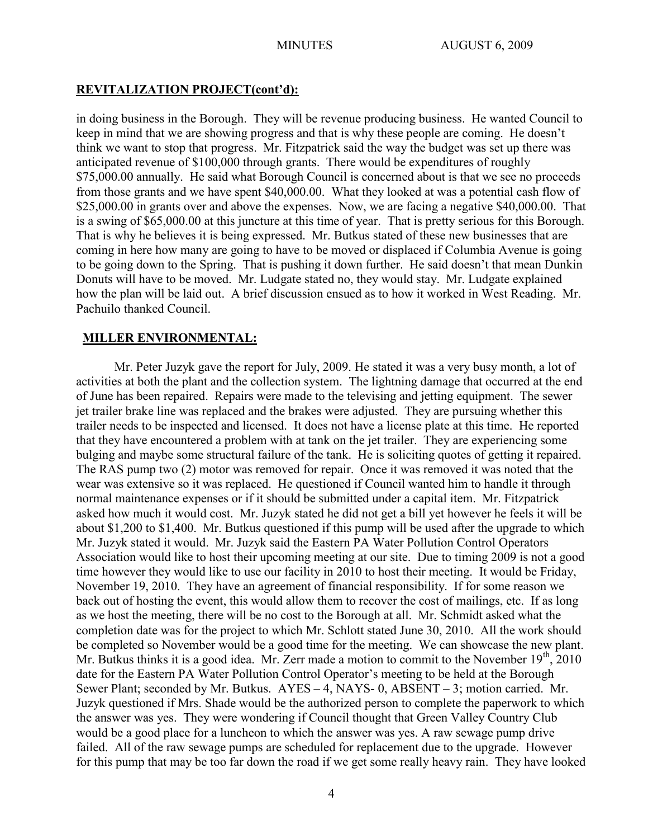### **REVITALIZATION PROJECT(cont'd):**

in doing business in the Borough. They will be revenue producing business. He wanted Council to keep in mind that we are showing progress and that is why these people are coming. He doesn't think we want to stop that progress. Mr. Fitzpatrick said the way the budget was set up there was anticipated revenue of \$100,000 through grants. There would be expenditures of roughly \$75,000.00 annually. He said what Borough Council is concerned about is that we see no proceeds from those grants and we have spent \$40,000.00. What they looked at was a potential cash flow of \$25,000.00 in grants over and above the expenses. Now, we are facing a negative \$40,000.00. That is a swing of \$65,000.00 at this juncture at this time of year. That is pretty serious for this Borough. That is why he believes it is being expressed. Mr. Butkus stated of these new businesses that are coming in here how many are going to have to be moved or displaced if Columbia Avenue is going to be going down to the Spring. That is pushing it down further. He said doesn't that mean Dunkin Donuts will have to be moved. Mr. Ludgate stated no, they would stay. Mr. Ludgate explained how the plan will be laid out. A brief discussion ensued as to how it worked in West Reading. Mr. Pachuilo thanked Council.

### **MILLER ENVIRONMENTAL:**

Mr. Peter Juzyk gave the report for July, 2009. He stated it was a very busy month, a lot of activities at both the plant and the collection system. The lightning damage that occurred at the end of June has been repaired. Repairs were made to the televising and jetting equipment. The sewer jet trailer brake line was replaced and the brakes were adjusted. They are pursuing whether this trailer needs to be inspected and licensed. It does not have a license plate at this time. He reported that they have encountered a problem with at tank on the jet trailer. They are experiencing some bulging and maybe some structural failure of the tank. He is soliciting quotes of getting it repaired. The RAS pump two (2) motor was removed for repair. Once it was removed it was noted that the wear was extensive so it was replaced. He questioned if Council wanted him to handle it through normal maintenance expenses or if it should be submitted under a capital item. Mr. Fitzpatrick asked how much it would cost. Mr. Juzyk stated he did not get a bill yet however he feels it will be about \$1,200 to \$1,400. Mr. Butkus questioned if this pump will be used after the upgrade to which Mr. Juzyk stated it would. Mr. Juzyk said the Eastern PA Water Pollution Control Operators Association would like to host their upcoming meeting at our site. Due to timing 2009 is not a good time however they would like to use our facility in 2010 to host their meeting. It would be Friday, November 19, 2010. They have an agreement of financial responsibility. If for some reason we back out of hosting the event, this would allow them to recover the cost of mailings, etc. If as long as we host the meeting, there will be no cost to the Borough at all. Mr. Schmidt asked what the completion date was for the project to which Mr. Schlott stated June 30, 2010. All the work should be completed so November would be a good time for the meeting. We can showcase the new plant. Mr. Butkus thinks it is a good idea. Mr. Zerr made a motion to commit to the November  $19<sup>th</sup>$ , 2010 date for the Eastern PA Water Pollution Control Operator's meeting to be held at the Borough Sewer Plant; seconded by Mr. Butkus. AYES – 4, NAYS- 0, ABSENT – 3; motion carried. Mr. Juzyk questioned if Mrs. Shade would be the authorized person to complete the paperwork to which the answer was yes. They were wondering if Council thought that Green Valley Country Club would be a good place for a luncheon to which the answer was yes. A raw sewage pump drive failed. All of the raw sewage pumps are scheduled for replacement due to the upgrade. However for this pump that may be too far down the road if we get some really heavy rain. They have looked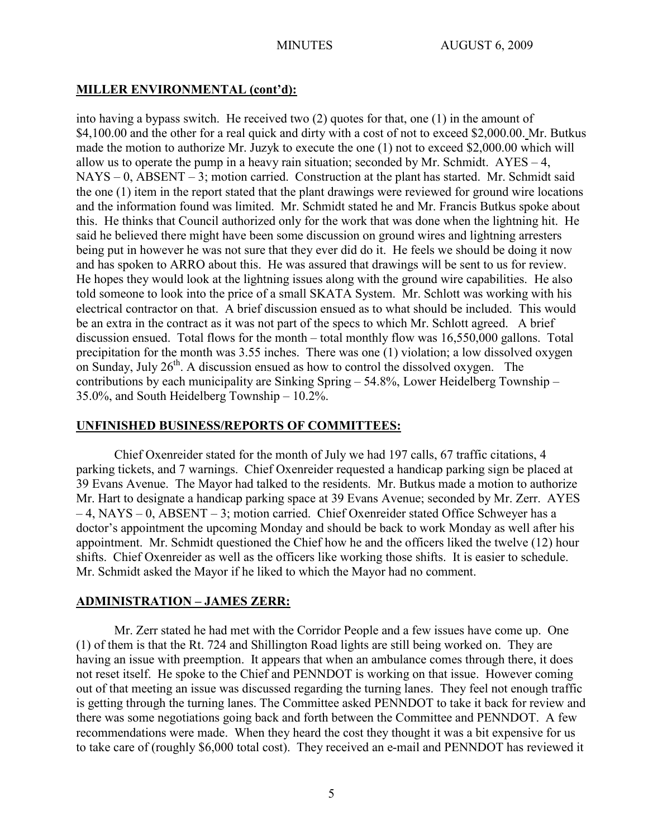# **MILLER ENVIRONMENTAL (cont'd):**

into having a bypass switch. He received two (2) quotes for that, one (1) in the amount of \$4,100.00 and the other for a real quick and dirty with a cost of not to exceed \$2,000.00. Mr. Butkus made the motion to authorize Mr. Juzyk to execute the one (1) not to exceed \$2,000.00 which will allow us to operate the pump in a heavy rain situation; seconded by Mr. Schmidt.  $AYES - 4$ , NAYS – 0, ABSENT – 3; motion carried. Construction at the plant has started. Mr. Schmidt said the one (1) item in the report stated that the plant drawings were reviewed for ground wire locations and the information found was limited. Mr. Schmidt stated he and Mr. Francis Butkus spoke about this. He thinks that Council authorized only for the work that was done when the lightning hit. He said he believed there might have been some discussion on ground wires and lightning arresters being put in however he was not sure that they ever did do it. He feels we should be doing it now and has spoken to ARRO about this. He was assured that drawings will be sent to us for review. He hopes they would look at the lightning issues along with the ground wire capabilities. He also told someone to look into the price of a small SKATA System. Mr. Schlott was working with his electrical contractor on that. A brief discussion ensued as to what should be included. This would be an extra in the contract as it was not part of the specs to which Mr. Schlott agreed. A brief discussion ensued. Total flows for the month – total monthly flow was 16,550,000 gallons. Total precipitation for the month was 3.55 inches. There was one (1) violation; a low dissolved oxygen on Sunday, July  $26<sup>th</sup>$ . A discussion ensued as how to control the dissolved oxygen. The contributions by each municipality are Sinking Spring – 54.8%, Lower Heidelberg Township – 35.0%, and South Heidelberg Township – 10.2%.

# **UNFINISHED BUSINESS/REPORTS OF COMMITTEES:**

Chief Oxenreider stated for the month of July we had 197 calls, 67 traffic citations, 4 parking tickets, and 7 warnings. Chief Oxenreider requested a handicap parking sign be placed at 39 Evans Avenue. The Mayor had talked to the residents. Mr. Butkus made a motion to authorize Mr. Hart to designate a handicap parking space at 39 Evans Avenue; seconded by Mr. Zerr. AYES – 4, NAYS – 0, ABSENT – 3; motion carried. Chief Oxenreider stated Office Schweyer has a doctor's appointment the upcoming Monday and should be back to work Monday as well after his appointment. Mr. Schmidt questioned the Chief how he and the officers liked the twelve (12) hour shifts. Chief Oxenreider as well as the officers like working those shifts. It is easier to schedule. Mr. Schmidt asked the Mayor if he liked to which the Mayor had no comment.

# **ADMINISTRATION – JAMES ZERR:**

Mr. Zerr stated he had met with the Corridor People and a few issues have come up. One (1) of them is that the Rt. 724 and Shillington Road lights are still being worked on. They are having an issue with preemption. It appears that when an ambulance comes through there, it does not reset itself. He spoke to the Chief and PENNDOT is working on that issue. However coming out of that meeting an issue was discussed regarding the turning lanes. They feel not enough traffic is getting through the turning lanes. The Committee asked PENNDOT to take it back for review and there was some negotiations going back and forth between the Committee and PENNDOT. A few recommendations were made. When they heard the cost they thought it was a bit expensive for us to take care of (roughly \$6,000 total cost). They received an e-mail and PENNDOT has reviewed it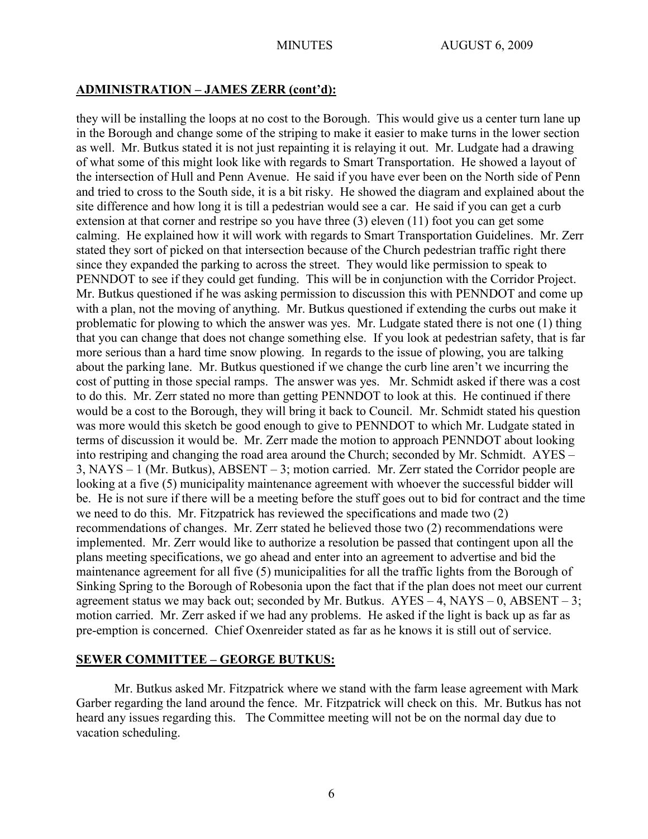# **ADMINISTRATION – JAMES ZERR (cont'd):**

they will be installing the loops at no cost to the Borough. This would give us a center turn lane up in the Borough and change some of the striping to make it easier to make turns in the lower section as well. Mr. Butkus stated it is not just repainting it is relaying it out. Mr. Ludgate had a drawing of what some of this might look like with regards to Smart Transportation. He showed a layout of the intersection of Hull and Penn Avenue. He said if you have ever been on the North side of Penn and tried to cross to the South side, it is a bit risky. He showed the diagram and explained about the site difference and how long it is till a pedestrian would see a car. He said if you can get a curb extension at that corner and restripe so you have three (3) eleven (11) foot you can get some calming. He explained how it will work with regards to Smart Transportation Guidelines. Mr. Zerr stated they sort of picked on that intersection because of the Church pedestrian traffic right there since they expanded the parking to across the street. They would like permission to speak to PENNDOT to see if they could get funding. This will be in conjunction with the Corridor Project. Mr. Butkus questioned if he was asking permission to discussion this with PENNDOT and come up with a plan, not the moving of anything. Mr. Butkus questioned if extending the curbs out make it problematic for plowing to which the answer was yes. Mr. Ludgate stated there is not one (1) thing that you can change that does not change something else. If you look at pedestrian safety, that is far more serious than a hard time snow plowing. In regards to the issue of plowing, you are talking about the parking lane. Mr. Butkus questioned if we change the curb line aren't we incurring the cost of putting in those special ramps. The answer was yes. Mr. Schmidt asked if there was a cost to do this. Mr. Zerr stated no more than getting PENNDOT to look at this. He continued if there would be a cost to the Borough, they will bring it back to Council. Mr. Schmidt stated his question was more would this sketch be good enough to give to PENNDOT to which Mr. Ludgate stated in terms of discussion it would be. Mr. Zerr made the motion to approach PENNDOT about looking into restriping and changing the road area around the Church; seconded by Mr. Schmidt. AYES – 3, NAYS – 1 (Mr. Butkus), ABSENT – 3; motion carried. Mr. Zerr stated the Corridor people are looking at a five (5) municipality maintenance agreement with whoever the successful bidder will be. He is not sure if there will be a meeting before the stuff goes out to bid for contract and the time we need to do this. Mr. Fitzpatrick has reviewed the specifications and made two (2) recommendations of changes. Mr. Zerr stated he believed those two (2) recommendations were implemented. Mr. Zerr would like to authorize a resolution be passed that contingent upon all the plans meeting specifications, we go ahead and enter into an agreement to advertise and bid the maintenance agreement for all five (5) municipalities for all the traffic lights from the Borough of Sinking Spring to the Borough of Robesonia upon the fact that if the plan does not meet our current agreement status we may back out; seconded by Mr. Butkus.  $AYES - 4$ ,  $NAYS - 0$ ,  $ABSENT - 3$ ; motion carried. Mr. Zerr asked if we had any problems. He asked if the light is back up as far as pre-emption is concerned. Chief Oxenreider stated as far as he knows it is still out of service.

# **SEWER COMMITTEE – GEORGE BUTKUS:**

Mr. Butkus asked Mr. Fitzpatrick where we stand with the farm lease agreement with Mark Garber regarding the land around the fence. Mr. Fitzpatrick will check on this. Mr. Butkus has not heard any issues regarding this. The Committee meeting will not be on the normal day due to vacation scheduling.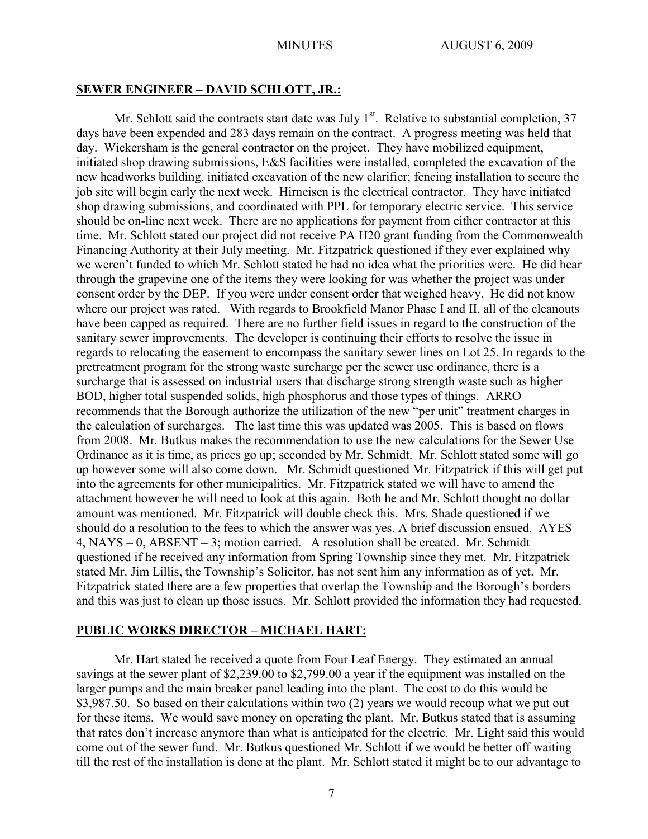#### **SEWER ENGINEER – DAVID SCHLOTT, JR.:**

Mr. Schlott said the contracts start date was July  $1<sup>st</sup>$ . Relative to substantial completion, 37 days have been expended and 283 days remain on the contract. A progress meeting was held that day. Wickersham is the general contractor on the project. They have mobilized equipment, initiated shop drawing submissions, E&S facilities were installed, completed the excavation of the new headworks building, initiated excavation of the new clarifier; fencing installation to secure the job site will begin early the next week. Hirneisen is the electrical contractor. They have initiated shop drawing submissions, and coordinated with PPL for temporary electric service. This service should be on-line next week. There are no applications for payment from either contractor at this time. Mr. Schlott stated our project did not receive PA H20 grant funding from the Commonwealth Financing Authority at their July meeting. Mr. Fitzpatrick questioned if they ever explained why we weren't funded to which Mr. Schlott stated he had no idea what the priorities were. He did hear through the grapevine one of the items they were looking for was whether the project was under consent order by the DEP. If you were under consent order that weighed heavy. He did not know where our project was rated. With regards to Brookfield Manor Phase I and II, all of the cleanouts have been capped as required. There are no further field issues in regard to the construction of the sanitary sewer improvements. The developer is continuing their efforts to resolve the issue in regards to relocating the easement to encompass the sanitary sewer lines on Lot 25. In regards to the pretreatment program for the strong waste surcharge per the sewer use ordinance, there is a surcharge that is assessed on industrial users that discharge strong strength waste such as higher BOD, higher total suspended solids, high phosphorus and those types of things. ARRO recommends that the Borough authorize the utilization of the new "per unit" treatment charges in the calculation of surcharges. The last time this was updated was 2005. This is based on flows from 2008. Mr. Butkus makes the recommendation to use the new calculations for the Sewer Use Ordinance as it is time, as prices go up; seconded by Mr. Schmidt. Mr. Schlott stated some will go up however some will also come down. Mr. Schmidt questioned Mr. Fitzpatrick if this will get put into the agreements for other municipalities. Mr. Fitzpatrick stated we will have to amend the attachment however he will need to look at this again. Both he and Mr. Schlott thought no dollar amount was mentioned. Mr. Fitzpatrick will double check this. Mrs. Shade questioned if we should do a resolution to the fees to which the answer was yes. A brief discussion ensued. AYES – 4, NAYS – 0, ABSENT – 3; motion carried. A resolution shall be created. Mr. Schmidt questioned if he received any information from Spring Township since they met. Mr. Fitzpatrick stated Mr. Jim Lillis, the Township's Solicitor, has not sent him any information as of yet. Mr. Fitzpatrick stated there are a few properties that overlap the Township and the Borough's borders and this was just to clean up those issues. Mr. Schlott provided the information they had requested.

## **PUBLIC WORKS DIRECTOR – MICHAEL HART:**

Mr. Hart stated he received a quote from Four Leaf Energy. They estimated an annual savings at the sewer plant of \$2,239.00 to \$2,799.00 a year if the equipment was installed on the larger pumps and the main breaker panel leading into the plant. The cost to do this would be \$3,987.50. So based on their calculations within two (2) years we would recoup what we put out for these items. We would save money on operating the plant. Mr. Butkus stated that is assuming that rates don't increase anymore than what is anticipated for the electric. Mr. Light said this would come out of the sewer fund. Mr. Butkus questioned Mr. Schlott if we would be better off waiting till the rest of the installation is done at the plant. Mr. Schlott stated it might be to our advantage to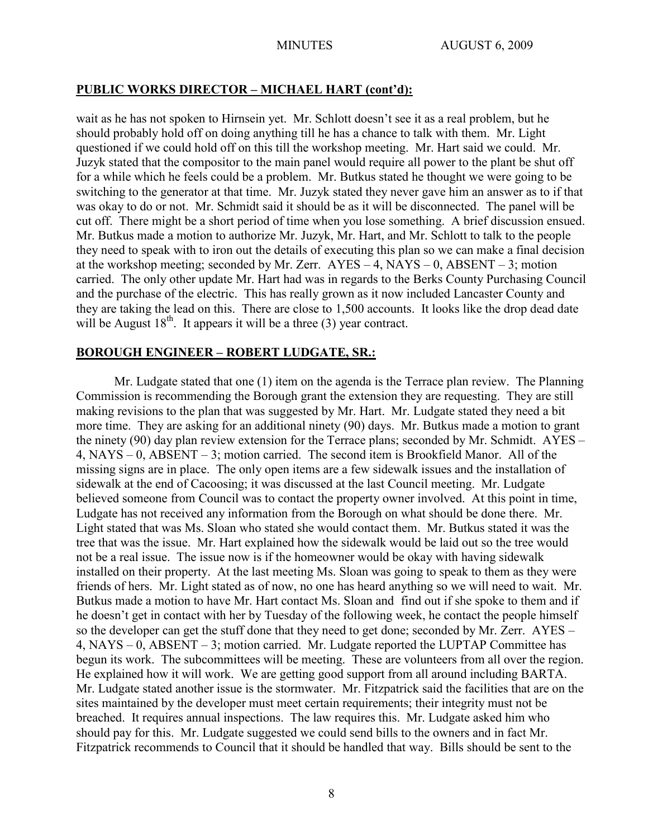# **PUBLIC WORKS DIRECTOR – MICHAEL HART (cont'd):**

wait as he has not spoken to Hirnsein yet. Mr. Schlott doesn't see it as a real problem, but he should probably hold off on doing anything till he has a chance to talk with them. Mr. Light questioned if we could hold off on this till the workshop meeting. Mr. Hart said we could. Mr. Juzyk stated that the compositor to the main panel would require all power to the plant be shut off for a while which he feels could be a problem. Mr. Butkus stated he thought we were going to be switching to the generator at that time. Mr. Juzyk stated they never gave him an answer as to if that was okay to do or not. Mr. Schmidt said it should be as it will be disconnected. The panel will be cut off. There might be a short period of time when you lose something. A brief discussion ensued. Mr. Butkus made a motion to authorize Mr. Juzyk, Mr. Hart, and Mr. Schlott to talk to the people they need to speak with to iron out the details of executing this plan so we can make a final decision at the workshop meeting; seconded by Mr. Zerr. AYES – 4, NAYS – 0, ABSENT – 3; motion carried. The only other update Mr. Hart had was in regards to the Berks County Purchasing Council and the purchase of the electric. This has really grown as it now included Lancaster County and they are taking the lead on this. There are close to 1,500 accounts. It looks like the drop dead date will be August  $18<sup>th</sup>$ . It appears it will be a three (3) year contract.

# **BOROUGH ENGINEER – ROBERT LUDGATE, SR.:**

Mr. Ludgate stated that one (1) item on the agenda is the Terrace plan review. The Planning Commission is recommending the Borough grant the extension they are requesting. They are still making revisions to the plan that was suggested by Mr. Hart. Mr. Ludgate stated they need a bit more time. They are asking for an additional ninety (90) days. Mr. Butkus made a motion to grant the ninety (90) day plan review extension for the Terrace plans; seconded by Mr. Schmidt. AYES – 4, NAYS – 0, ABSENT – 3; motion carried. The second item is Brookfield Manor. All of the missing signs are in place. The only open items are a few sidewalk issues and the installation of sidewalk at the end of Cacoosing; it was discussed at the last Council meeting. Mr. Ludgate believed someone from Council was to contact the property owner involved. At this point in time, Ludgate has not received any information from the Borough on what should be done there. Mr. Light stated that was Ms. Sloan who stated she would contact them. Mr. Butkus stated it was the tree that was the issue. Mr. Hart explained how the sidewalk would be laid out so the tree would not be a real issue. The issue now is if the homeowner would be okay with having sidewalk installed on their property. At the last meeting Ms. Sloan was going to speak to them as they were friends of hers. Mr. Light stated as of now, no one has heard anything so we will need to wait. Mr. Butkus made a motion to have Mr. Hart contact Ms. Sloan and find out if she spoke to them and if he doesn't get in contact with her by Tuesday of the following week, he contact the people himself so the developer can get the stuff done that they need to get done; seconded by Mr. Zerr. AYES – 4, NAYS – 0, ABSENT – 3; motion carried. Mr. Ludgate reported the LUPTAP Committee has begun its work. The subcommittees will be meeting. These are volunteers from all over the region. He explained how it will work. We are getting good support from all around including BARTA. Mr. Ludgate stated another issue is the stormwater. Mr. Fitzpatrick said the facilities that are on the sites maintained by the developer must meet certain requirements; their integrity must not be breached. It requires annual inspections. The law requires this. Mr. Ludgate asked him who should pay for this. Mr. Ludgate suggested we could send bills to the owners and in fact Mr. Fitzpatrick recommends to Council that it should be handled that way. Bills should be sent to the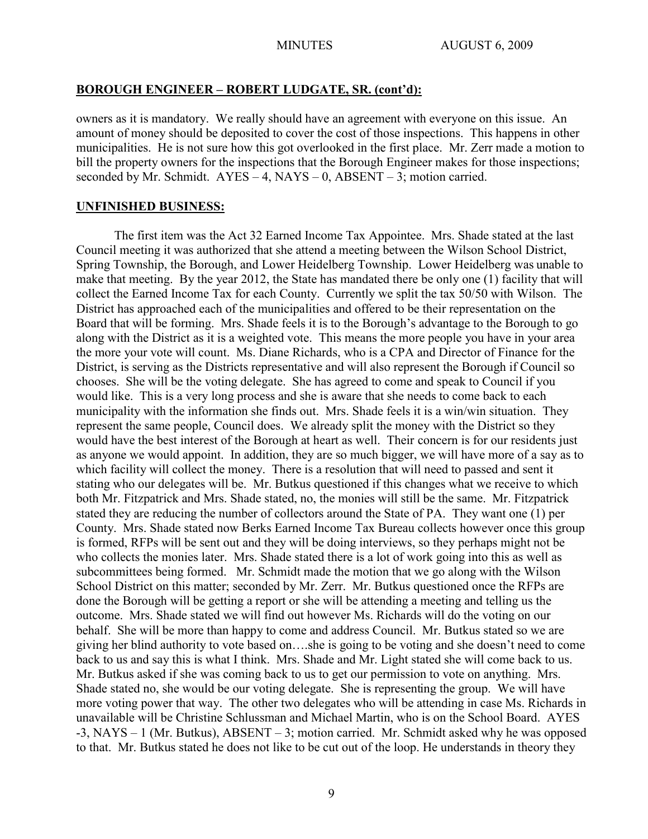### **BOROUGH ENGINEER – ROBERT LUDGATE, SR. (cont'd):**

owners as it is mandatory. We really should have an agreement with everyone on this issue. An amount of money should be deposited to cover the cost of those inspections. This happens in other municipalities. He is not sure how this got overlooked in the first place. Mr. Zerr made a motion to bill the property owners for the inspections that the Borough Engineer makes for those inspections; seconded by Mr. Schmidt.  $AYES - 4$ ,  $NAYS - 0$ ,  $ABSENT - 3$ ; motion carried.

### **UNFINISHED BUSINESS:**

The first item was the Act 32 Earned Income Tax Appointee. Mrs. Shade stated at the last Council meeting it was authorized that she attend a meeting between the Wilson School District, Spring Township, the Borough, and Lower Heidelberg Township. Lower Heidelberg was unable to make that meeting. By the year 2012, the State has mandated there be only one (1) facility that will collect the Earned Income Tax for each County. Currently we split the tax 50/50 with Wilson. The District has approached each of the municipalities and offered to be their representation on the Board that will be forming. Mrs. Shade feels it is to the Borough's advantage to the Borough to go along with the District as it is a weighted vote. This means the more people you have in your area the more your vote will count. Ms. Diane Richards, who is a CPA and Director of Finance for the District, is serving as the Districts representative and will also represent the Borough if Council so chooses. She will be the voting delegate. She has agreed to come and speak to Council if you would like. This is a very long process and she is aware that she needs to come back to each municipality with the information she finds out. Mrs. Shade feels it is a win/win situation. They represent the same people, Council does. We already split the money with the District so they would have the best interest of the Borough at heart as well. Their concern is for our residents just as anyone we would appoint. In addition, they are so much bigger, we will have more of a say as to which facility will collect the money. There is a resolution that will need to passed and sent it stating who our delegates will be. Mr. Butkus questioned if this changes what we receive to which both Mr. Fitzpatrick and Mrs. Shade stated, no, the monies will still be the same. Mr. Fitzpatrick stated they are reducing the number of collectors around the State of PA. They want one (1) per County. Mrs. Shade stated now Berks Earned Income Tax Bureau collects however once this group is formed, RFPs will be sent out and they will be doing interviews, so they perhaps might not be who collects the monies later. Mrs. Shade stated there is a lot of work going into this as well as subcommittees being formed. Mr. Schmidt made the motion that we go along with the Wilson School District on this matter; seconded by Mr. Zerr. Mr. Butkus questioned once the RFPs are done the Borough will be getting a report or she will be attending a meeting and telling us the outcome. Mrs. Shade stated we will find out however Ms. Richards will do the voting on our behalf. She will be more than happy to come and address Council. Mr. Butkus stated so we are giving her blind authority to vote based on….she is going to be voting and she doesn't need to come back to us and say this is what I think. Mrs. Shade and Mr. Light stated she will come back to us. Mr. Butkus asked if she was coming back to us to get our permission to vote on anything. Mrs. Shade stated no, she would be our voting delegate. She is representing the group. We will have more voting power that way. The other two delegates who will be attending in case Ms. Richards in unavailable will be Christine Schlussman and Michael Martin, who is on the School Board. AYES -3, NAYS – 1 (Mr. Butkus), ABSENT – 3; motion carried. Mr. Schmidt asked why he was opposed to that. Mr. Butkus stated he does not like to be cut out of the loop. He understands in theory they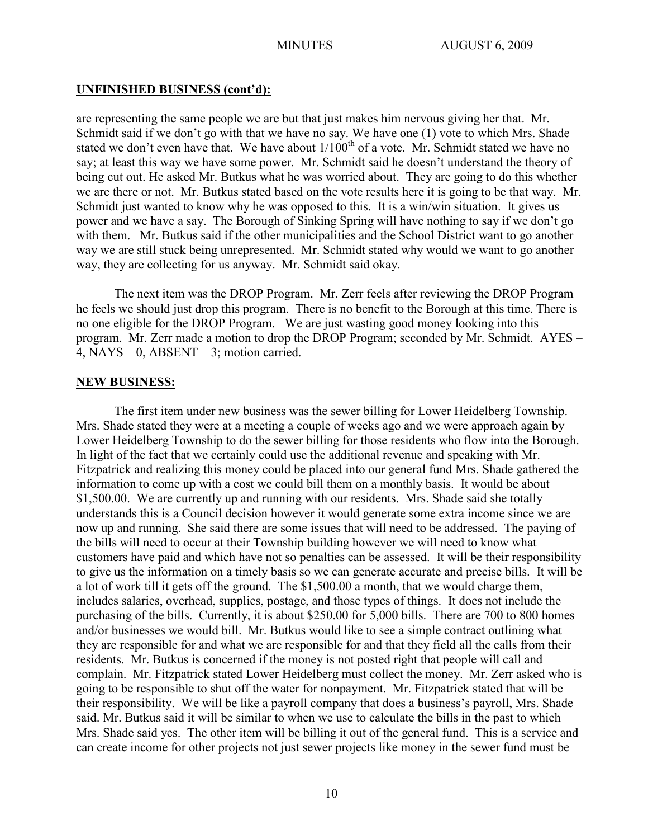### **UNFINISHED BUSINESS (cont'd):**

are representing the same people we are but that just makes him nervous giving her that. Mr. Schmidt said if we don't go with that we have no say. We have one (1) vote to which Mrs. Shade stated we don't even have that. We have about  $1/100^{th}$  of a vote. Mr. Schmidt stated we have no say; at least this way we have some power. Mr. Schmidt said he doesn't understand the theory of being cut out. He asked Mr. Butkus what he was worried about. They are going to do this whether we are there or not. Mr. Butkus stated based on the vote results here it is going to be that way. Mr. Schmidt just wanted to know why he was opposed to this. It is a win/win situation. It gives us power and we have a say. The Borough of Sinking Spring will have nothing to say if we don't go with them. Mr. Butkus said if the other municipalities and the School District want to go another way we are still stuck being unrepresented. Mr. Schmidt stated why would we want to go another way, they are collecting for us anyway. Mr. Schmidt said okay.

The next item was the DROP Program. Mr. Zerr feels after reviewing the DROP Program he feels we should just drop this program. There is no benefit to the Borough at this time. There is no one eligible for the DROP Program. We are just wasting good money looking into this program. Mr. Zerr made a motion to drop the DROP Program; seconded by Mr. Schmidt. AYES – 4,  $NAYS - 0$ ,  $ABSENT - 3$ ; motion carried.

#### **NEW BUSINESS:**

The first item under new business was the sewer billing for Lower Heidelberg Township. Mrs. Shade stated they were at a meeting a couple of weeks ago and we were approach again by Lower Heidelberg Township to do the sewer billing for those residents who flow into the Borough. In light of the fact that we certainly could use the additional revenue and speaking with Mr. Fitzpatrick and realizing this money could be placed into our general fund Mrs. Shade gathered the information to come up with a cost we could bill them on a monthly basis. It would be about \$1,500.00. We are currently up and running with our residents. Mrs. Shade said she totally understands this is a Council decision however it would generate some extra income since we are now up and running. She said there are some issues that will need to be addressed. The paying of the bills will need to occur at their Township building however we will need to know what customers have paid and which have not so penalties can be assessed. It will be their responsibility to give us the information on a timely basis so we can generate accurate and precise bills. It will be a lot of work till it gets off the ground. The \$1,500.00 a month, that we would charge them, includes salaries, overhead, supplies, postage, and those types of things. It does not include the purchasing of the bills. Currently, it is about \$250.00 for 5,000 bills. There are 700 to 800 homes and/or businesses we would bill. Mr. Butkus would like to see a simple contract outlining what they are responsible for and what we are responsible for and that they field all the calls from their residents. Mr. Butkus is concerned if the money is not posted right that people will call and complain. Mr. Fitzpatrick stated Lower Heidelberg must collect the money. Mr. Zerr asked who is going to be responsible to shut off the water for nonpayment. Mr. Fitzpatrick stated that will be their responsibility. We will be like a payroll company that does a business's payroll, Mrs. Shade said. Mr. Butkus said it will be similar to when we use to calculate the bills in the past to which Mrs. Shade said yes. The other item will be billing it out of the general fund. This is a service and can create income for other projects not just sewer projects like money in the sewer fund must be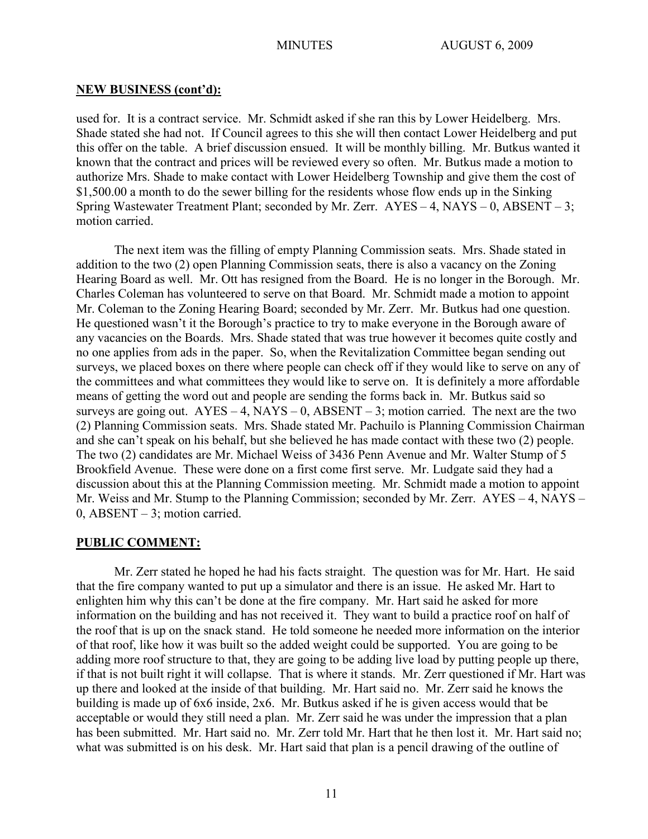#### **NEW BUSINESS (cont'd):**

used for. It is a contract service. Mr. Schmidt asked if she ran this by Lower Heidelberg. Mrs. Shade stated she had not. If Council agrees to this she will then contact Lower Heidelberg and put this offer on the table. A brief discussion ensued. It will be monthly billing. Mr. Butkus wanted it known that the contract and prices will be reviewed every so often. Mr. Butkus made a motion to authorize Mrs. Shade to make contact with Lower Heidelberg Township and give them the cost of \$1,500.00 a month to do the sewer billing for the residents whose flow ends up in the Sinking Spring Wastewater Treatment Plant; seconded by Mr. Zerr.  $AYES - 4$ ,  $NAYS - 0$ ,  $ABSENT - 3$ ; motion carried.

The next item was the filling of empty Planning Commission seats. Mrs. Shade stated in addition to the two (2) open Planning Commission seats, there is also a vacancy on the Zoning Hearing Board as well. Mr. Ott has resigned from the Board. He is no longer in the Borough. Mr. Charles Coleman has volunteered to serve on that Board. Mr. Schmidt made a motion to appoint Mr. Coleman to the Zoning Hearing Board; seconded by Mr. Zerr. Mr. Butkus had one question. He questioned wasn't it the Borough's practice to try to make everyone in the Borough aware of any vacancies on the Boards. Mrs. Shade stated that was true however it becomes quite costly and no one applies from ads in the paper. So, when the Revitalization Committee began sending out surveys, we placed boxes on there where people can check off if they would like to serve on any of the committees and what committees they would like to serve on. It is definitely a more affordable means of getting the word out and people are sending the forms back in. Mr. Butkus said so surveys are going out.  $AYES - 4$ ,  $NAYS - 0$ ,  $ABSENT - 3$ ; motion carried. The next are the two (2) Planning Commission seats. Mrs. Shade stated Mr. Pachuilo is Planning Commission Chairman and she can't speak on his behalf, but she believed he has made contact with these two (2) people. The two (2) candidates are Mr. Michael Weiss of 3436 Penn Avenue and Mr. Walter Stump of 5 Brookfield Avenue. These were done on a first come first serve. Mr. Ludgate said they had a discussion about this at the Planning Commission meeting. Mr. Schmidt made a motion to appoint Mr. Weiss and Mr. Stump to the Planning Commission; seconded by Mr. Zerr. AYES – 4, NAYS – 0, ABSENT – 3; motion carried.

### **PUBLIC COMMENT:**

Mr. Zerr stated he hoped he had his facts straight. The question was for Mr. Hart. He said that the fire company wanted to put up a simulator and there is an issue. He asked Mr. Hart to enlighten him why this can't be done at the fire company. Mr. Hart said he asked for more information on the building and has not received it. They want to build a practice roof on half of the roof that is up on the snack stand. He told someone he needed more information on the interior of that roof, like how it was built so the added weight could be supported. You are going to be adding more roof structure to that, they are going to be adding live load by putting people up there, if that is not built right it will collapse. That is where it stands. Mr. Zerr questioned if Mr. Hart was up there and looked at the inside of that building. Mr. Hart said no. Mr. Zerr said he knows the building is made up of 6x6 inside, 2x6. Mr. Butkus asked if he is given access would that be acceptable or would they still need a plan. Mr. Zerr said he was under the impression that a plan has been submitted. Mr. Hart said no. Mr. Zerr told Mr. Hart that he then lost it. Mr. Hart said no; what was submitted is on his desk. Mr. Hart said that plan is a pencil drawing of the outline of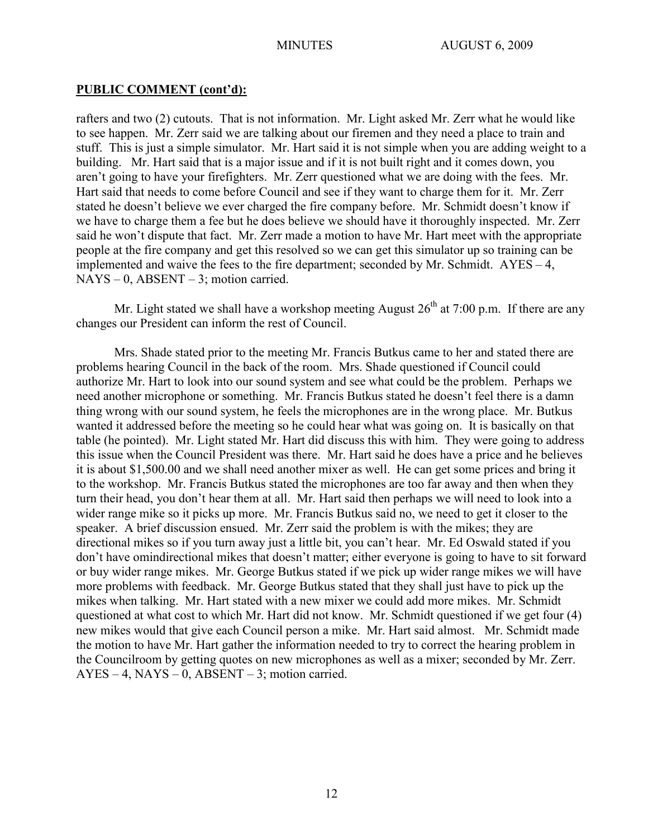# **PUBLIC COMMENT (cont'd):**

rafters and two (2) cutouts. That is not information. Mr. Light asked Mr. Zerr what he would like to see happen. Mr. Zerr said we are talking about our firemen and they need a place to train and stuff. This is just a simple simulator. Mr. Hart said it is not simple when you are adding weight to a building. Mr. Hart said that is a major issue and if it is not built right and it comes down, you aren't going to have your firefighters. Mr. Zerr questioned what we are doing with the fees. Mr. Hart said that needs to come before Council and see if they want to charge them for it. Mr. Zerr stated he doesn't believe we ever charged the fire company before. Mr. Schmidt doesn't know if we have to charge them a fee but he does believe we should have it thoroughly inspected. Mr. Zerr said he won't dispute that fact. Mr. Zerr made a motion to have Mr. Hart meet with the appropriate people at the fire company and get this resolved so we can get this simulator up so training can be implemented and waive the fees to the fire department; seconded by Mr. Schmidt. AYES – 4,  $NAYS - 0$ ,  $ABSENT - 3$ ; motion carried.

Mr. Light stated we shall have a workshop meeting August  $26<sup>th</sup>$  at 7:00 p.m. If there are any changes our President can inform the rest of Council.

Mrs. Shade stated prior to the meeting Mr. Francis Butkus came to her and stated there are problems hearing Council in the back of the room. Mrs. Shade questioned if Council could authorize Mr. Hart to look into our sound system and see what could be the problem. Perhaps we need another microphone or something. Mr. Francis Butkus stated he doesn't feel there is a damn thing wrong with our sound system, he feels the microphones are in the wrong place. Mr. Butkus wanted it addressed before the meeting so he could hear what was going on. It is basically on that table (he pointed). Mr. Light stated Mr. Hart did discuss this with him. They were going to address this issue when the Council President was there. Mr. Hart said he does have a price and he believes it is about \$1,500.00 and we shall need another mixer as well. He can get some prices and bring it to the workshop. Mr. Francis Butkus stated the microphones are too far away and then when they turn their head, you don't hear them at all. Mr. Hart said then perhaps we will need to look into a wider range mike so it picks up more. Mr. Francis Butkus said no, we need to get it closer to the speaker. A brief discussion ensued. Mr. Zerr said the problem is with the mikes; they are directional mikes so if you turn away just a little bit, you can't hear. Mr. Ed Oswald stated if you don't have omindirectional mikes that doesn't matter; either everyone is going to have to sit forward or buy wider range mikes. Mr. George Butkus stated if we pick up wider range mikes we will have more problems with feedback. Mr. George Butkus stated that they shall just have to pick up the mikes when talking. Mr. Hart stated with a new mixer we could add more mikes. Mr. Schmidt questioned at what cost to which Mr. Hart did not know. Mr. Schmidt questioned if we get four (4) new mikes would that give each Council person a mike. Mr. Hart said almost. Mr. Schmidt made the motion to have Mr. Hart gather the information needed to try to correct the hearing problem in the Councilroom by getting quotes on new microphones as well as a mixer; seconded by Mr. Zerr.  $AYES - 4$ ,  $NAYS - 0$ ,  $ABSENT - 3$ ; motion carried.